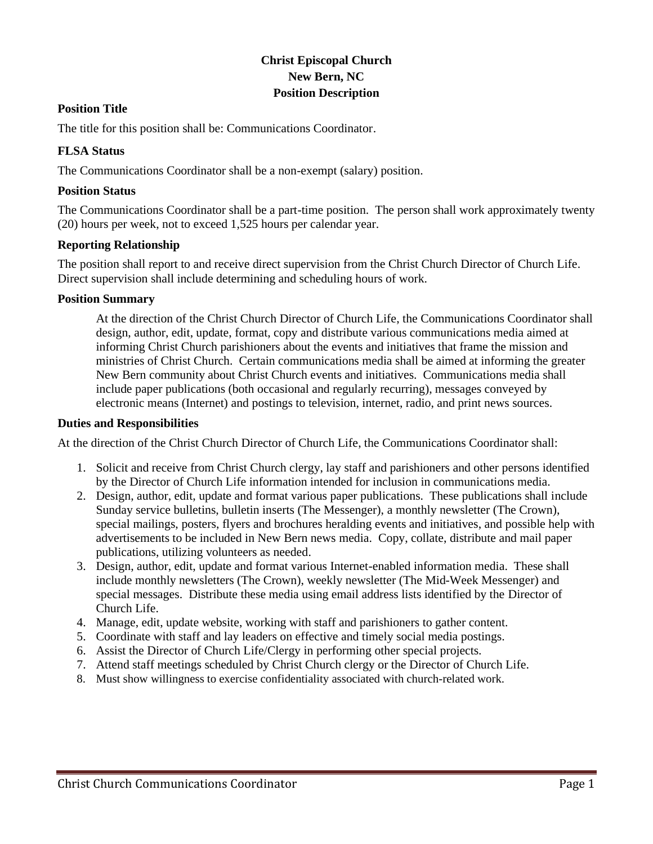# **Christ Episcopal Church New Bern, NC Position Description**

### **Position Title**

The title for this position shall be: Communications Coordinator.

# **FLSA Status**

The Communications Coordinator shall be a non-exempt (salary) position.

### **Position Status**

The Communications Coordinator shall be a part-time position. The person shall work approximately twenty (20) hours per week, not to exceed 1,525 hours per calendar year.

#### **Reporting Relationship**

The position shall report to and receive direct supervision from the Christ Church Director of Church Life. Direct supervision shall include determining and scheduling hours of work.

#### **Position Summary**

At the direction of the Christ Church Director of Church Life, the Communications Coordinator shall design, author, edit, update, format, copy and distribute various communications media aimed at informing Christ Church parishioners about the events and initiatives that frame the mission and ministries of Christ Church. Certain communications media shall be aimed at informing the greater New Bern community about Christ Church events and initiatives. Communications media shall include paper publications (both occasional and regularly recurring), messages conveyed by electronic means (Internet) and postings to television, internet, radio, and print news sources.

#### **Duties and Responsibilities**

At the direction of the Christ Church Director of Church Life, the Communications Coordinator shall:

- 1. Solicit and receive from Christ Church clergy, lay staff and parishioners and other persons identified by the Director of Church Life information intended for inclusion in communications media.
- 2. Design, author, edit, update and format various paper publications. These publications shall include Sunday service bulletins, bulletin inserts (The Messenger), a monthly newsletter (The Crown), special mailings, posters, flyers and brochures heralding events and initiatives, and possible help with advertisements to be included in New Bern news media. Copy, collate, distribute and mail paper publications, utilizing volunteers as needed.
- 3. Design, author, edit, update and format various Internet-enabled information media. These shall include monthly newsletters (The Crown), weekly newsletter (The Mid-Week Messenger) and special messages. Distribute these media using email address lists identified by the Director of Church Life.
- 4. Manage, edit, update website, working with staff and parishioners to gather content.
- 5. Coordinate with staff and lay leaders on effective and timely social media postings.
- 6. Assist the Director of Church Life/Clergy in performing other special projects.
- 7. Attend staff meetings scheduled by Christ Church clergy or the Director of Church Life.
- 8. Must show willingness to exercise confidentiality associated with church-related work.